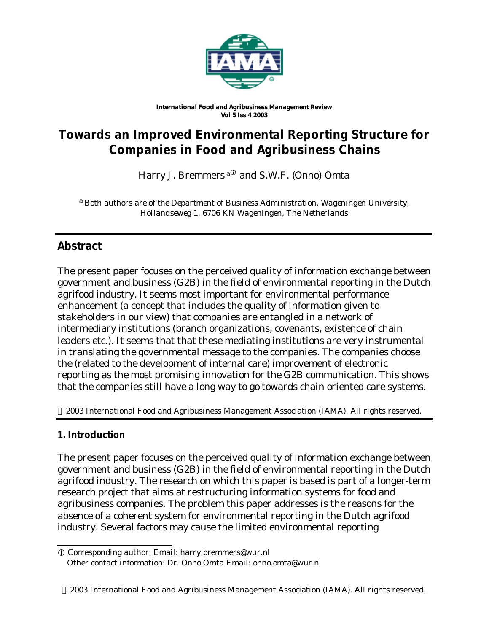

#### *International Food and Agribusiness Management Review Vol 5 Iss 4 2003*

# **Towards an Improved Environmental Reporting Structure for Companies in Food and Agribusiness Chains**

Harry J. Bremmers <sup>a $\Phi$ </sup> and S.W.F. (Onno) Omta

a *Both authors are of the Department of Business Administration, Wageningen University, Hollandseweg 1, 6706 KN Wageningen, The Netherlands*

# **Abstract**

The present paper focuses on the perceived quality of information exchange between government and business (G2B) in the field of environmental reporting in the Dutch agrifood industry. It seems most important for environmental performance enhancement (a concept that includes the quality of information given to stakeholders in our view) that companies are entangled in a network of intermediary institutions (branch organizations, covenants, existence of chain leaders etc.). It seems that that these mediating institutions are very instrumental in translating the governmental message to the companies. The companies choose the (related to the development of internal care) improvement of electronic reporting as the most promising innovation for the G2B communication. This shows that the companies still have a long way to go towards chain oriented care systems.

2003 International Food and Agribusiness Management Association (IAMA). All rights reserved.

## **1. Introduction**

l

The present paper focuses on the perceived quality of information exchange between government and business (G2B) in the field of environmental reporting in the Dutch agrifood industry. The research on which this paper is based is part of a longer-term research project that aims at restructuring information systems for food and agribusiness companies. The problem this paper addresses is the reasons for the absence of a coherent system for environmental reporting in the Dutch agrifood industry. Several factors may cause the limited environmental reporting

i Corresponding author: Email: harry.bremmers@wur.nl Other contact information: Dr. Onno Omta Email: onno.omta@wur.nl

 <sup>2003</sup> International Food and Agribusiness Management Association (IAMA). All rights reserved.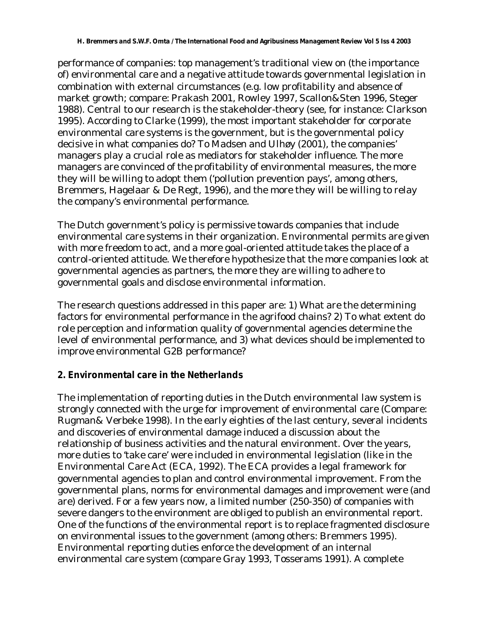performance of companies: top management's traditional view on (the importance of) environmental care and a negative attitude towards governmental legislation in combination with external circumstances (e.g. low profitability and absence of market growth; compare: Prakash 2001, Rowley 1997, Scallon&Sten 1996, Steger 1988). Central to our research is the stakeholder-theory (see, for instance: Clarkson 1995). According to Clarke (1999), the most important stakeholder for corporate environmental care systems is the government, but is the governmental policy decisive in what companies do? To Madsen and Ulhøy (2001), the companies' managers play a crucial role as mediators for stakeholder influence. The more managers are convinced of the profitability of environmental measures, the more they will be willing to adopt them ('pollution prevention pays', among others, Bremmers, Hagelaar & De Regt, 1996), and the more they will be willing to relay the company's environmental performance.

The Dutch government's policy is permissive towards companies that include environmental care systems in their organization. Environmental permits are given with more freedom to act, and a more goal-oriented attitude takes the place of a control-oriented attitude. We therefore hypothesize that the more companies look at governmental agencies as partners, the more they are willing to adhere to governmental goals and disclose environmental information.

The research questions addressed in this paper are: 1) What are the determining factors for environmental performance in the agrifood chains? 2) To what extent do role perception and information quality of governmental agencies determine the level of environmental performance, and 3) what devices should be implemented to improve environmental G2B performance?

# **2. Environmental care in the Netherlands**

The implementation of reporting duties in the Dutch environmental law system is strongly connected with the urge for improvement of environmental care (Compare: Rugman& Verbeke 1998). In the early eighties of the last century, several incidents and discoveries of environmental damage induced a discussion about the relationship of business activities and the natural environment. Over the years, more duties to 'take care' were included in environmental legislation (like in the Environmental Care Act (ECA, 1992). The ECA provides a legal framework for governmental agencies to plan and control environmental improvement. From the governmental plans, norms for environmental damages and improvement were (and are) derived. For a few years now, a limited number (250-350) of companies with severe dangers to the environment are obliged to publish an environmental report. One of the functions of the environmental report is to replace fragmented disclosure on environmental issues to the government (among others: Bremmers 1995). Environmental reporting duties enforce the development of an internal environmental care system (compare Gray 1993, Tosserams 1991). A complete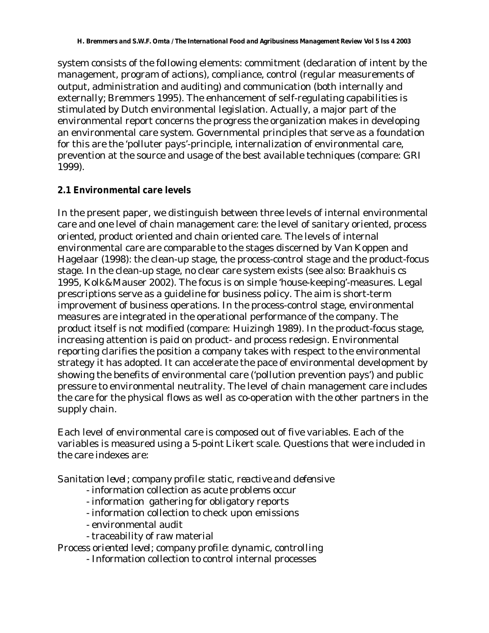system consists of the following elements: commitment (declaration of intent by the management, program of actions), compliance, control (regular measurements of output, administration and auditing) and communication (both internally and externally; Bremmers 1995). The enhancement of self-regulating capabilities is stimulated by Dutch environmental legislation. Actually, a major part of the environmental report concerns the progress the organization makes in developing an environmental care system. Governmental principles that serve as a foundation for this are the 'polluter pays'-principle, internalization of environmental care, prevention at the source and usage of the best available techniques (compare: GRI 1999).

# **2.1 Environmental care levels**

In the present paper, we distinguish between three levels of internal environmental care and one level of chain management care: the level of sanitary oriented, process oriented, product oriented and chain oriented care. The levels of internal environmental care are comparable to the stages discerned by Van Koppen and Hagelaar (1998): the clean-up stage, the process-control stage and the product-focus stage. In the clean-up stage, no clear care system exists (see also: Braakhuis cs 1995, Kolk&Mauser 2002). The focus is on simple 'house-keeping'-measures. Legal prescriptions serve as a guideline for business policy. The aim is short-term improvement of business operations. In the process-control stage, environmental measures are integrated in the operational performance of the company. The product itself is not modified (compare: Huizingh 1989). In the product-focus stage, increasing attention is paid on product- and process redesign. Environmental reporting clarifies the position a company takes with respect to the environmental strategy it has adopted. It can accelerate the pace of environmental development by showing the benefits of environmental care ('pollution prevention pays') and public pressure to environmental neutrality. The level of chain management care includes the care for the physical flows as well as co-operation with the other partners in the supply chain.

Each level of environmental care is composed out of five variables. Each of the variables is measured using a 5-point Likert scale. Questions that were included in the care indexes are:

*Sanitation level; company profile: static, reactive and defensive*

- information collection as acute problems occur
- information gathering for obligatory reports
- information collection to check upon emissions
- environmental audit
- traceability of raw material

*Process oriented level; company profile: dynamic, controlling*

- Information collection to control internal processes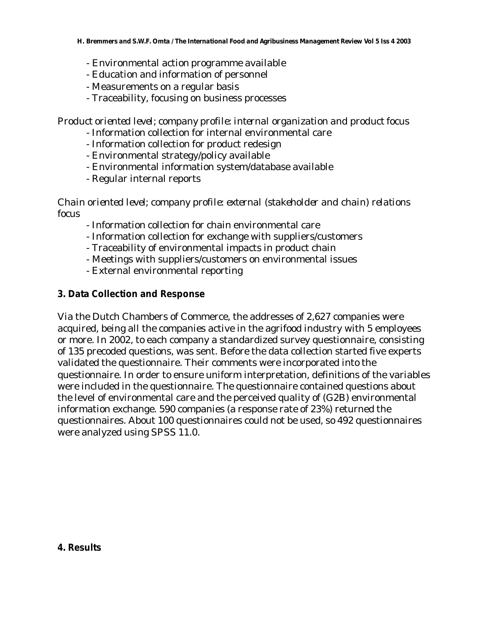- Environmental action programme available
- Education and information of personnel
- Measurements on a regular basis
- Traceability, focusing on business processes

*Product oriented level; company profile: internal organization and product focus*

- Information collection for internal environmental care
- Information collection for product redesign
- Environmental strategy/policy available
- Environmental information system/database available
- Regular internal reports

*Chain oriented level; company profile: external (stakeholder and chain) relations focus*

- Information collection for chain environmental care
- Information collection for exchange with suppliers/customers
- Traceability of environmental impacts in product chain
- Meetings with suppliers/customers on environmental issues
- External environmental reporting

## **3. Data Collection and Response**

Via the Dutch Chambers of Commerce, the addresses of 2,627 companies were acquired, being all the companies active in the agrifood industry with 5 employees or more. In 2002, to each company a standardized survey questionnaire, consisting of 135 precoded questions, was sent. Before the data collection started five experts validated the questionnaire. Their comments were incorporated into the questionnaire. In order to ensure uniform interpretation, definitions of the variables were included in the questionnaire. The questionnaire contained questions about the level of environmental care and the perceived quality of (G2B) environmental information exchange. 590 companies (a response rate of 23%) returned the questionnaires. About 100 questionnaires could not be used, so 492 questionnaires were analyzed using SPSS 11.0.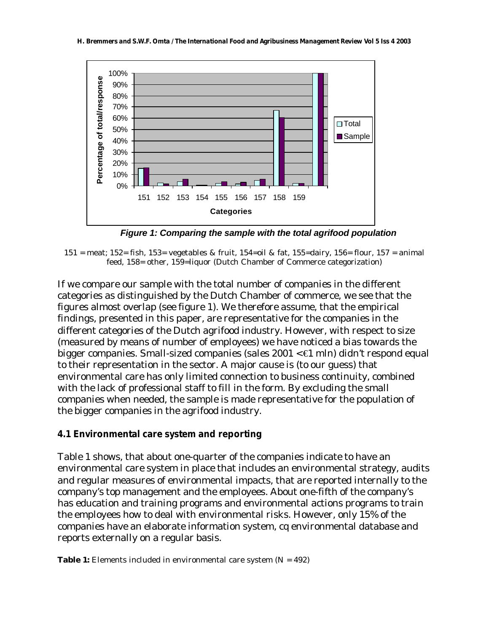

*Figure 1: Comparing the sample with the total agrifood population*

If we compare our sample with the total number of companies in the different categories as distinguished by the Dutch Chamber of commerce, we see that the figures almost overlap (see figure 1). We therefore assume, that the empirical findings, presented in this paper, are representative for the companies in the different categories of the Dutch agrifood industry. However, with respect to size (measured by means of number of employees) we have noticed a bias towards the bigger companies. Small-sized companies (sales  $2001 < \text{\textsterling}1$  mln) didn't respond equal to their representation in the sector. A major cause is (to our guess) that environmental care has only limited connection to business continuity, combined with the lack of professional staff to fill in the form. By excluding the small companies when needed, the sample is made representative for the population of the bigger companies in the agrifood industry.

## **4.1 Environmental care system and reporting**

Table 1 shows, that about one-quarter of the companies indicate to have an environmental care system in place that includes an environmental strategy, audits and regular measures of environmental impacts, that are reported internally to the company's top management and the employees. About one-fifth of the company's has education and training programs and environmental actions programs to train the employees how to deal with environmental risks. However, only 15% of the companies have an elaborate information system, cq environmental database and reports externally on a regular basis.

**Table 1:** Elements included in environmental care system (N = 492)

<sup>151 =</sup> meat; 152 = fish, 153 = vegetables & fruit, 154 = oil & fat, 155 = dairy, 156 = flour, 157 = animal feed, 158= other, 159=liquor (Dutch Chamber of Commerce categorization)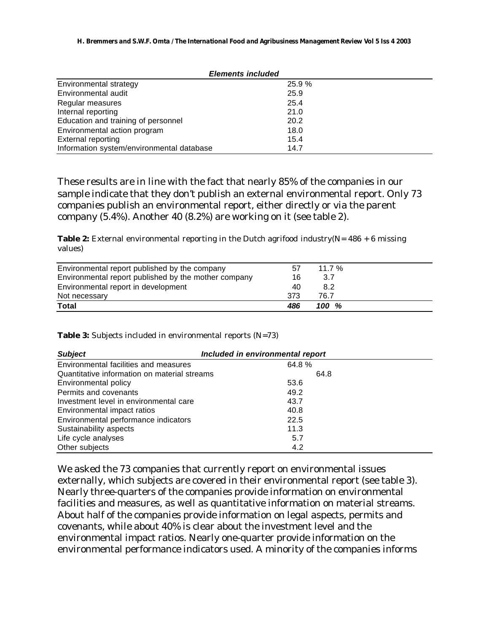| <b>Elements included</b>                  |        |  |  |
|-------------------------------------------|--------|--|--|
| Environmental strategy                    | 25.9 % |  |  |
| Environmental audit                       | 25.9   |  |  |
| Regular measures                          | 25.4   |  |  |
| Internal reporting                        | 21.0   |  |  |
| Education and training of personnel       | 20.2   |  |  |
| Environmental action program              | 18.0   |  |  |
| <b>External reporting</b>                 | 15.4   |  |  |
| Information system/environmental database | 14.7   |  |  |

These results are in line with the fact that nearly 85% of the companies in our sample indicate that they don't publish an external environmental report. Only 73 companies publish an environmental report, either directly or via the parent company (5.4%). Another 40 (8.2%) are working on it (see table 2).

**Table 2:** External environmental reporting in the Dutch agrifood industry( $N = 486 + 6$  missing values)

| Environmental report published by the company        | 57  | 11.7% |  |
|------------------------------------------------------|-----|-------|--|
| Environmental report published by the mother company | 16  | 3.7   |  |
|                                                      |     |       |  |
| Environmental report in development                  | 40  | 8.2   |  |
| Not necessary                                        | 373 | 76.7  |  |
| <b>Total</b>                                         | 486 | 100 % |  |

#### **Table 3:** Subjects included in environmental reports (N=73)

| <b>Subject</b>                               | Included in environmental report |  |
|----------------------------------------------|----------------------------------|--|
| Environmental facilities and measures        | 64.8%                            |  |
| Quantitative information on material streams | 64.8                             |  |
| Environmental policy                         | 53.6                             |  |
| Permits and covenants                        | 49.2                             |  |
| Investment level in environmental care       | 43.7                             |  |
| Environmental impact ratios                  | 40.8                             |  |
| Environmental performance indicators         | 22.5                             |  |
| Sustainability aspects                       | 11.3                             |  |
| Life cycle analyses                          | 5.7                              |  |
| Other subjects                               | 4.2                              |  |

We asked the 73 companies that currently report on environmental issues externally, which subjects are covered in their environmental report (see table 3). Nearly three-quarters of the companies provide information on environmental facilities and measures, as well as quantitative information on material streams. About half of the companies provide information on legal aspects, permits and covenants, while about 40% is clear about the investment level and the environmental impact ratios. Nearly one-quarter provide information on the environmental performance indicators used. A minority of the companies informs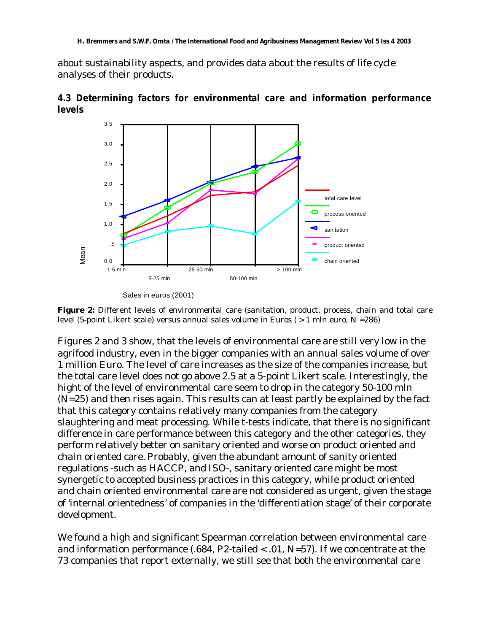about sustainability aspects, and provides data about the results of life cycle analyses of their products.



**4.3 Determining factors for environmental care and information performance levels**

**Figure 2:** Different levels of environmental care (sanitation, product, process, chain and total care level (5-point Likert scale) versus annual sales volume in Euros ( $> 1$  mln euro, N = 286)

Figures 2 and 3 show, that the levels of environmental care are still very low in the agrifood industry, even in the bigger companies with an annual sales volume of over 1 million Euro. The level of care increases as the size of the companies increase, but the total care level does not go above 2.5 at a 5-point Likert scale. Interestingly, the hight of the level of environmental care seem to drop in the category 50-100 mln (N=25) and then rises again. This results can at least partly be explained by the fact that this category contains relatively many companies from the category slaughtering and meat processing. While t-tests indicate, that there is no significant difference in care performance between this category and the other categories, they perform relatively better on sanitary oriented and worse on product oriented and chain oriented care. Probably, given the abundant amount of sanity oriented regulations -such as HACCP, and ISO-, sanitary oriented care might be most synergetic to accepted business practices in this category, while product oriented and chain oriented environmental care are not considered as urgent, given the stage of 'internal orientedness' of companies in the 'differentiation stage' of their corporate development.

We found a high and significant Spearman correlation between environmental care and information performance  $(.684, P2$ -tailed < .01, N=57). If we concentrate at the 73 companies that report externally, we still see that both the environmental care

Sales in euros (2001)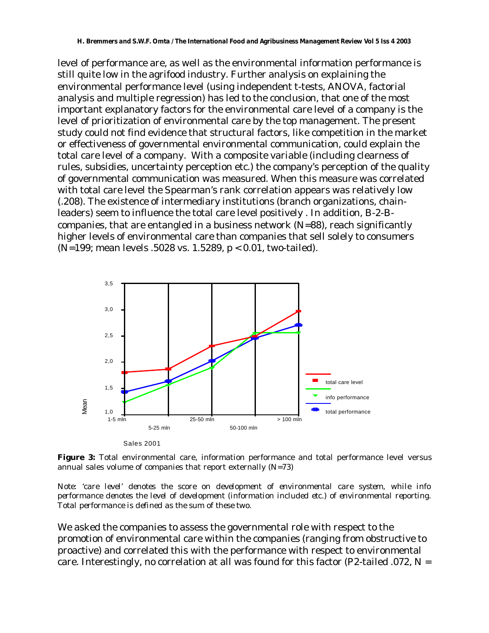level of performance are, as well as the environmental information performance is still quite low in the agrifood industry. Further analysis on explaining the environmental performance level (using independent t-tests, ANOVA, factorial analysis and multiple regression) has led to the conclusion, that one of the most important explanatory factors for the environmental care level of a company is the level of prioritization of environmental care by the top management. The present study could not find evidence that structural factors, like competition in the market or effectiveness of governmental environmental communication, could explain the total care level of a company. With a composite variable (including clearness of rules, subsidies, uncertainty perception etc.) the company's perception of the quality of governmental communication was measured. When this measure was correlated with total care level the Spearman's rank correlation appears was relatively low (.208). The existence of intermediary institutions (branch organizations, chainleaders) seem to influence the total care level positively . In addition, B-2-Bcompanies, that are entangled in a business network  $(N=88)$ , reach significantly higher levels of environmental care than companies that sell solely to consumers (N=199; mean levels .5028 vs. 1.5289, p < 0.01, two-tailed).



**Figure 3:** Total environmental care, information performance and total performance level versus annual sales volume of companies that report externally (N=73)

*Note: 'care level' denotes the score on development of environmental care system, while info performance denotes the level of development (information included etc.) of environmental reporting. Total performance is defined as the sum of these two.*

We asked the companies to assess the governmental role with respect to the promotion of environmental care within the companies (ranging from obstructive to proactive) and correlated this with the performance with respect to environmental care. Interestingly, no correlation at all was found for this factor (P2-tailed .072,  $N =$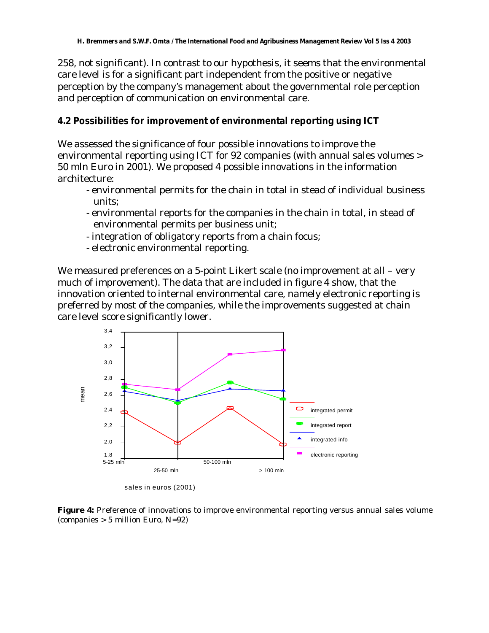258, not significant). In contrast to our hypothesis, it seems that the environmental care level is for a significant part independent from the positive or negative perception by the company's management about the governmental role perception and perception of communication on environmental care.

#### **4.2 Possibilities for improvement of environmental reporting using ICT**

We assessed the significance of four possible innovations to improve the environmental reporting using ICT for 92 companies (with annual sales volumes > 50 mln Euro in 2001). We proposed 4 possible innovations in the information architecture:

- environmental permits for the chain in total in stead of individual business units;
- environmental reports for the companies in the chain in total, in stead of environmental permits per business unit;
- integration of obligatory reports from a chain focus;
- electronic environmental reporting.

We measured preferences on a 5-point Likert scale (no improvement at all – very much of improvement). The data that are included in figure 4 show, that the innovation oriented to internal environmental care, namely electronic reporting is preferred by most of the companies, while the improvements suggested at chain care level score significantly lower.



sales in euros (2001)

**Figure 4:** Preference of innovations to improve environmental reporting versus annual sales volume (companies > 5 million Euro, N=92)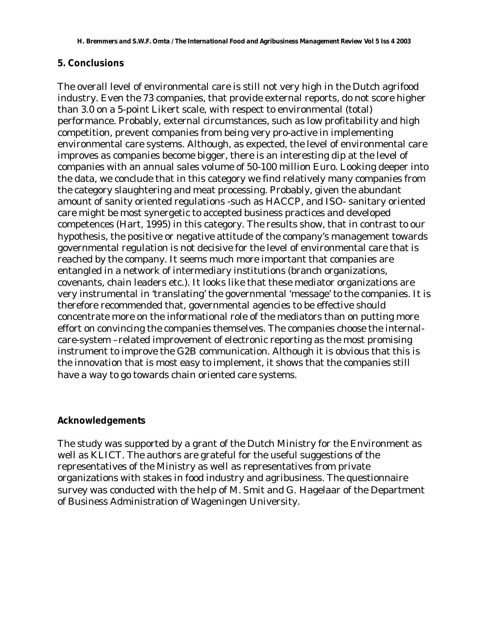#### **5. Conclusions**

The overall level of environmental care is still not very high in the Dutch agrifood industry. Even the 73 companies, that provide external reports, do not score higher than 3.0 on a 5-point Likert scale, with respect to environmental (total) performance. Probably, external circumstances, such as low profitability and high competition, prevent companies from being very pro-active in implementing environmental care systems. Although, as expected, the level of environmental care improves as companies become bigger, there is an interesting dip at the level of companies with an annual sales volume of 50-100 million Euro. Looking deeper into the data, we conclude that in this category we find relatively many companies from the category slaughtering and meat processing. Probably, given the abundant amount of sanity oriented regulations -such as HACCP, and ISO- sanitary oriented care might be most synergetic to accepted business practices and developed competences (Hart, 1995) in this category. The results show, that in contrast to our hypothesis, the positive or negative attitude of the company's management towards governmental regulation is not decisive for the level of environmental care that is reached by the company. It seems much more important that companies are entangled in a network of intermediary institutions (branch organizations, covenants, chain leaders etc.). It looks like that these mediator organizations are very instrumental in 'translating' the governmental 'message' to the companies. It is therefore recommended that, governmental agencies to be effective should concentrate more on the informational role of the mediators than on putting more effort on convincing the companies themselves. The companies choose the internalcare-system –related improvement of electronic reporting as the most promising instrument to improve the G2B communication. Although it is obvious that this is the innovation that is most easy to implement, it shows that the companies still have a way to go towards chain oriented care systems.

#### **Acknowledgements**

The study was supported by a grant of the Dutch Ministry for the Environment as well as KLICT. The authors are grateful for the useful suggestions of the representatives of the Ministry as well as representatives from private organizations with stakes in food industry and agribusiness. The questionnaire survey was conducted with the help of M. Smit and G. Hagelaar of the Department of Business Administration of Wageningen University.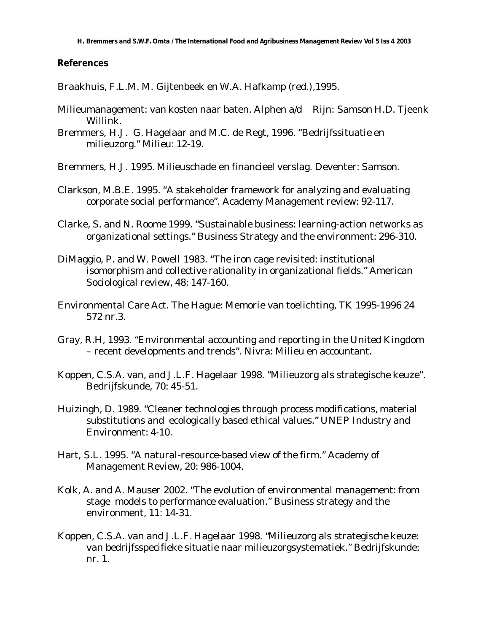#### **References**

Braakhuis, F.L.M. M. Gijtenbeek en W.A. Hafkamp (red.),1995.

- Milieumanagement: van kosten naar baten. Alphen a/d Rijn: Samson H.D. Tjeenk Willink.
- Bremmers, H.J. G. Hagelaar and M.C. de Regt, 1996. "Bedrijfssituatie en milieuzorg." Milieu: 12-19.
- Bremmers, H.J. 1995. Milieuschade en financieel verslag. Deventer: Samson.
- Clarkson, M.B.E. 1995. "A stakeholder framework for analyzing and evaluating corporate social performance". Academy Management review: 92-117.
- Clarke, S. and N. Roome 1999. "Sustainable business: learning-action networks as organizational settings." Business Strategy and the environment: 296-310.
- DiMaggio, P. and W. Powell 1983. "The iron cage revisited: institutional isomorphism and collective rationality in organizational fields." American Sociological review, 48: 147-160.
- Environmental Care Act. The Hague: Memorie van toelichting, TK 1995-1996 24 572 nr.3.
- Gray, R.H, 1993. "Environmental accounting and reporting in the United Kingdom – recent developments and trends". Nivra: Milieu en accountant.
- Koppen, C.S.A. van, and J.L.F. Hagelaar 1998. "Milieuzorg als strategische keuze". Bedrijfskunde, 70: 45-51.
- Huizingh, D. 1989. "Cleaner technologies through process modifications, material substitutions and ecologically based ethical values." UNEP Industry and Environment: 4-10.
- Hart, S.L. 1995. "A natural-resource-based view of the firm." Academy of Management Review, 20: 986-1004.
- Kolk, A. and A. Mauser 2002. "The evolution of environmental management: from stage models to performance evaluation." Business strategy and the environment, 11: 14-31.
- Koppen, C.S.A. van and J.L.F. Hagelaar 1998. "Milieuzorg als strategische keuze: van bedrijfsspecifieke situatie naar milieuzorgsystematiek." Bedrijfskunde: nr. 1.